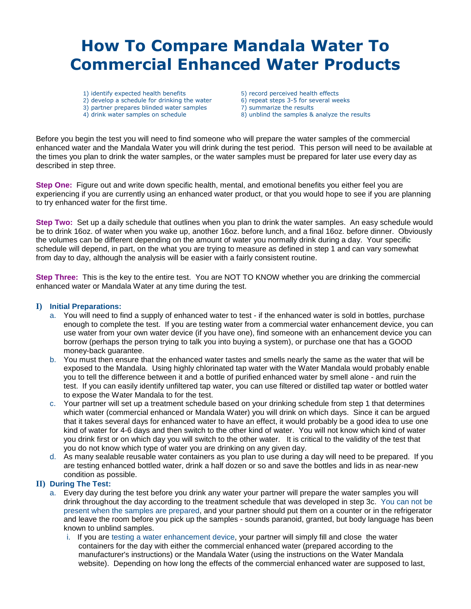# **How To Compare Mandala Water To Commercial Enhanced Water Products**

- 1) identify expected health benefits 2) develop a schedule for drinking the water
- 3) partner prepares blinded water samples
- 4) drink water samples on schedule
- 5) record perceived health effects
- 6) repeat steps 3-5 for several weeks
- 7) summarize the results
	- 8) unblind the samples & analyze the results

Before you begin the test you will need to find someone who will prepare the water samples of the commercial enhanced water and the Mandala Water you will drink during the test period. This person will need to be available at the times you plan to drink the water samples, or the water samples must be prepared for later use every day as described in step three.

**Step One:** Figure out and write down specific health, mental, and emotional benefits you either feel you are experiencing if you are currently using an enhanced water product, or that you would hope to see if you are planning to try enhanced water for the first time.

**Step Two:** Set up a daily schedule that outlines when you plan to drink the water samples. An easy schedule would be to drink 16oz. of water when you wake up, another 16oz. before lunch, and a final 16oz. before dinner. Obviously the volumes can be different depending on the amount of water you normally drink during a day. Your specific schedule will depend, in part, on the what you are trying to measure as defined in step 1 and can vary somewhat from day to day, although the analysis will be easier with a fairly consistent routine.

**Step Three:** This is the key to the entire test. You are NOT TO KNOW whether you are drinking the commercial enhanced water or Mandala Water at any time during the test.

# **I) Initial Preparations:**

- a. You will need to find a supply of enhanced water to test if the enhanced water is sold in bottles, purchase enough to complete the test. If you are testing water from a commercial water enhancement device, you can use water from your own water device (if you have one), find someone with an enhancement device you can borrow (perhaps the person trying to talk you into buying a system), or purchase one that has a GOOD money-back guarantee.
- b. You must then ensure that the enhanced water tastes and smells nearly the same as the water that will be exposed to the Mandala. Using highly chlorinated tap water with the Water Mandala would probably enable you to tell the difference between it and a bottle of purified enhanced water by smell alone - and ruin the test. If you can easily identify unfiltered tap water, you can use filtered or distilled tap water or bottled water to expose the Water Mandala to for the test.
- c. Your partner will set up a treatment schedule based on your drinking schedule from step 1 that determines which water (commercial enhanced or Mandala Water) you will drink on which days. Since it can be argued that it takes several days for enhanced water to have an effect, it would probably be a good idea to use one kind of water for 4-6 days and then switch to the other kind of water. You will not know which kind of water you drink first or on which day you will switch to the other water. It is critical to the validity of the test that you do not know which type of water you are drinking on any given day.
- d. As many sealable reusable water containers as you plan to use during a day will need to be prepared. If you are testing enhanced bottled water, drink a half dozen or so and save the bottles and lids in as near-new condition as possible.

# **II) During The Test:**

- a. Every day during the test before you drink any water your partner will prepare the water samples you will drink throughout the day according to the treatment schedule that was developed in step 3c. You can not be present when the samples are prepared, and your partner should put them on a counter or in the refrigerator and leave the room before you pick up the samples - sounds paranoid, granted, but body language has been known to unblind samples.
	- i. If you are testing a water enhancement device, your partner will simply fill and close the water containers for the day with either the commercial enhanced water (prepared according to the manufacturer's instructions) or the Mandala Water (using the instructions on the Water Mandala website). Depending on how long the effects of the commercial enhanced water are supposed to last,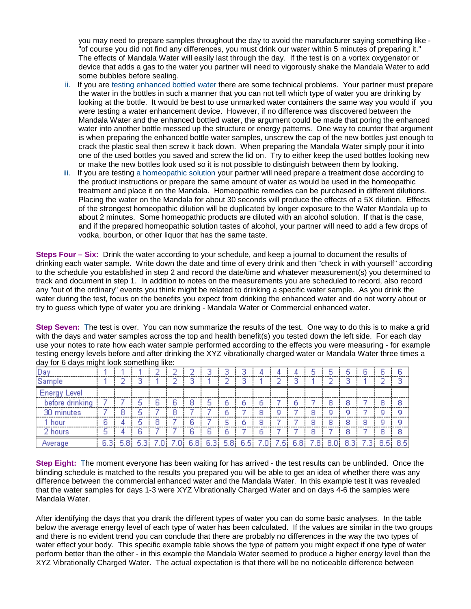you may need to prepare samples throughout the day to avoid the manufacturer saying something like - "of course you did not find any differences, you must drink our water within 5 minutes of preparing it." The effects of Mandala Water will easily last through the day. If the test is on a vortex oxygenator or device that adds a gas to the water you partner will need to vigorously shake the Mandala Water to add some bubbles before sealing.

- ii. If you are testing enhanced bottled water there are some technical problems. Your partner must prepare the water in the bottles in such a manner that you can not tell which type of water you are drinking by looking at the bottle. It would be best to use unmarked water containers the same way you would if you were testing a water enhancement device. However, if no difference was discovered between the Mandala Water and the enhanced bottled water, the argument could be made that poring the enhanced water into another bottle messed up the structure or energy patterns. One way to counter that argument is when preparing the enhanced bottle water samples, unscrew the cap of the new bottles just enough to crack the plastic seal then screw it back down. When preparing the Mandala Water simply pour it into one of the used bottles you saved and screw the lid on. Try to either keep the used bottles looking new or make the new bottles look used so it is not possible to distinguish between them by looking.
- iii. If you are testing a homeopathic solution your partner will need prepare a treatment dose according to the product instructions or prepare the same amount of water as would be used in the homeopathic treatment and place it on the Mandala. Homeopathic remedies can be purchased in different dilutions. Placing the water on the Mandala for about 30 seconds will produce the effects of a 5X dilution. Effects of the strongest homeopathic dilution will be duplicated by longer exposure to the Water Mandala up to about 2 minutes. Some homeopathic products are diluted with an alcohol solution. If that is the case, and if the prepared homeopathic solution tastes of alcohol, your partner will need to add a few drops of vodka, bourbon, or other liquor that has the same taste.

**Steps Four – Six:** Drink the water according to your schedule, and keep a journal to document the results of drinking each water sample. Write down the date and time of every drink and then "check in with yourself" according to the schedule you established in step 2 and record the date/time and whatever measurement(s) you determined to track and document in step 1. In addition to notes on the measurements you are scheduled to record, also record any "out of the ordinary" events you think might be related to drinking a specific water sample. As you drink the water during the test, focus on the benefits you expect from drinking the enhanced water and do not worry about or try to guess which type of water you are drinking - Mandala Water or Commercial enhanced water.

**Step Seven:** The test is over. You can now summarize the results of the test. One way to do this is to make a grid with the days and water samples across the top and health benefit(s) you tested down the left side. For each day use your notes to rate how each water sample performed according to the effects you were measuring - for example testing energy levels before and after drinking the XYZ vibrationally charged water or Mandala Water three times a day for 6 days might look something like:

| Day                 |      |     |   |      |     |     |     |                |     |     |    |    |     |     |      |     |
|---------------------|------|-----|---|------|-----|-----|-----|----------------|-----|-----|----|----|-----|-----|------|-----|
| Sample              |      |     |   |      |     |     |     |                |     |     |    |    |     |     |      |     |
| <b>Energy Level</b> |      |     |   |      |     |     |     |                |     |     |    |    |     |     |      |     |
| before drinking     |      |     | 6 | 8    | 5   | ь   |     |                |     | ь   |    |    | 8   |     |      | 8   |
| 30 minutes          |      |     |   |      |     | ь   |     |                |     |     |    |    |     |     |      |     |
| 1 hour              | ь    |     | 8 |      |     | 5   |     | с              |     |     |    |    | 8   | 8   |      |     |
| 2 hours             | 5    |     |   |      | ь   | ь   |     |                |     |     | 8  |    | 8   |     |      | я   |
| Average             | 6.31 | 5.8 |   | 6.8) | 6.3 | 5.8 | 6.5 | $\overline{0}$ | .51 | 6.8 | .8 | 8. | 8.3 | -31 | 8.51 | 8.5 |

**Step Eight:** The moment everyone has been waiting for has arrived - the test results can be unblinded. Once the blinding schedule is matched to the results you prepared you will be able to get an idea of whether there was any difference between the commercial enhanced water and the Mandala Water. In this example test it was revealed that the water samples for days 1-3 were XYZ Vibrationally Charged Water and on days 4-6 the samples were Mandala Water.

After identifying the days that you drank the different types of water you can do some basic analyses. In the table below the average energy level of each type of water has been calculated. If the values are similar in the two groups and there is no evident trend you can conclude that there are probably no differences in the way the two types of water effect your body. This specific example table shows the type of pattern you might expect if one type of water perform better than the other - in this example the Mandala Water seemed to produce a higher energy level than the XYZ Vibrationally Charged Water. The actual expectation is that there will be no noticeable difference between